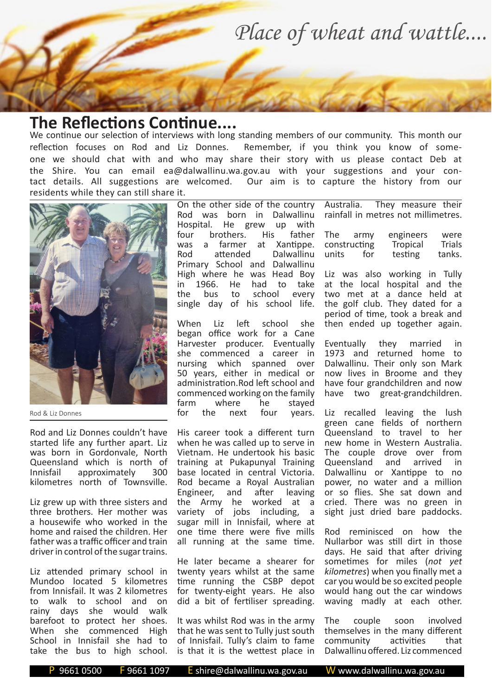*Place of wheat and wattle....*

## **The Reflections Continue....**

We continue our selection of interviews with long standing members of our community. This month our reflection focuses on Rod and Liz Donnes. Remember, if you think you know of someone we should chat with and who may share their story with us please contact Deb at the Shire. You can email ea@dalwallinu.wa.gov.au with your suggestions and your contact details. All suggestions are welcomed. Our aim is to capture the history from our residents while they can still share it.



Rod & Liz Donnes

Rod and Liz Donnes couldn't have started life any further apart. Liz was born in Gordonvale, North Queensland which is north of Innisfail approximately 300 kilometres north of Townsville.

Liz grew up with three sisters and three brothers. Her mother was a housewife who worked in the home and raised the children. Her father was a traffic officer and train driver in control of the sugar trains.

Liz attended primary school in Mundoo located 5 kilometres from Innisfail. It was 2 kilometres to walk to school and on rainy days she would walk barefoot to protect her shoes. When she commenced High School in Innisfail she had to take the bus to high school.

On the other side of the country Rod was born in Dalwallinu Hospital. He grew up with four brothers. His father was a farmer at Xantippe. Rod attended Dalwallinu Primary School and Dalwallinu High where he was Head Boy in 1966. He had to take the bus to school every single day of his school life.

When Liz left school she began office work for a Cane Harvester producer. Eventually she commenced a career in nursing which spanned over 50 years, either in medical or administration.Rod left school and commenced working on the family<br>farm where he staved farm where he stayed<br>for the next four years vears.

His career took a different turn when he was called up to serve in Vietnam. He undertook his basic training at Pukapunyal Training base located in central Victoria. Rod became a Royal Australian<br>Engineer, and after leaving after leaving the Army he worked at a variety of jobs including, a sugar mill in Innisfail, where at one time there were five mills all running at the same time.

He later became a shearer for twenty years whilst at the same time running the CSBP depot for twenty-eight years. He also did a bit of fertiliser spreading.

It was whilst Rod was in the army that he was sent to Tully just south of Innisfail. Tully's claim to fame is that it is the wettest place in Australia. They measure their rainfall in metres not millimetres.

| <b>The</b>   | army | engineers | were          |
|--------------|------|-----------|---------------|
| constructing |      | Tropical  | <b>Trials</b> |
| units        | for  | testing   | tanks.        |

Liz was also working in Tully at the local hospital and the two met at a dance held at the golf club. They dated for a period of time, took a break and then ended up together again.

Eventually they married in 1973 and returned home to Dalwallinu. Their only son Mark now lives in Broome and they have four grandchildren and now have two great-grandchildren.

Liz recalled leaving the lush green cane fields of northern Queensland to travel to her new home in Western Australia. The couple drove over from Queensland and arrived in Dalwallinu or Xantippe to no power, no water and a million or so flies. She sat down and cried. There was no green in sight just dried bare paddocks.

Rod reminisced on how the Nullarbor was still dirt in those days. He said that after driving sometimes for miles (*not yet kilometres*) when you finally met a car you would be so excited people would hang out the car windows waving madly at each other.

The couple soon involved themselves in the many different community activities that Dalwallinu offered. Liz commenced